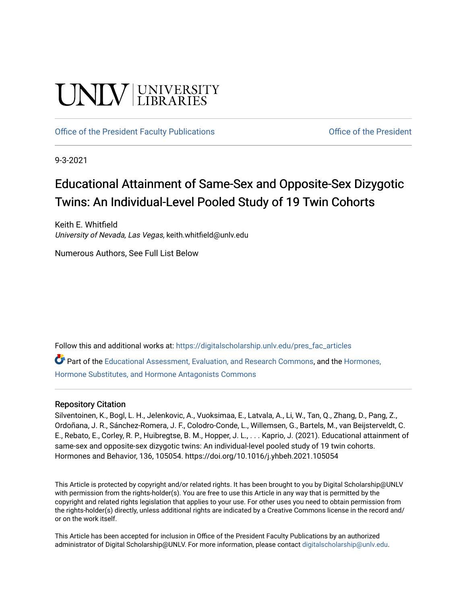# **UNIVERSITY**

[Office of the President Faculty Publications](https://digitalscholarship.unlv.edu/pres_fac_articles) **Office of the President** 

9-3-2021

## Educational Attainment of Same-Sex and Opposite-Sex Dizygotic Twins: An Individual-Level Pooled Study of 19 Twin Cohorts

Keith E. Whitfield University of Nevada, Las Vegas, keith.whitfield@unlv.edu

Numerous Authors, See Full List Below

Follow this and additional works at: [https://digitalscholarship.unlv.edu/pres\\_fac\\_articles](https://digitalscholarship.unlv.edu/pres_fac_articles?utm_source=digitalscholarship.unlv.edu%2Fpres_fac_articles%2F4&utm_medium=PDF&utm_campaign=PDFCoverPages)

Part of the [Educational Assessment, Evaluation, and Research Commons](http://network.bepress.com/hgg/discipline/796?utm_source=digitalscholarship.unlv.edu%2Fpres_fac_articles%2F4&utm_medium=PDF&utm_campaign=PDFCoverPages), and the [Hormones,](http://network.bepress.com/hgg/discipline/952?utm_source=digitalscholarship.unlv.edu%2Fpres_fac_articles%2F4&utm_medium=PDF&utm_campaign=PDFCoverPages)  [Hormone Substitutes, and Hormone Antagonists Commons](http://network.bepress.com/hgg/discipline/952?utm_source=digitalscholarship.unlv.edu%2Fpres_fac_articles%2F4&utm_medium=PDF&utm_campaign=PDFCoverPages)

### Repository Citation

Silventoinen, K., Bogl, L. H., Jelenkovic, A., Vuoksimaa, E., Latvala, A., Li, W., Tan, Q., Zhang, D., Pang, Z., Ordoñana, J. R., Sánchez-Romera, J. F., Colodro-Conde, L., Willemsen, G., Bartels, M., van Beijsterveldt, C. E., Rebato, E., Corley, R. P., Huibregtse, B. M., Hopper, J. L., . . . Kaprio, J. (2021). Educational attainment of same-sex and opposite-sex dizygotic twins: An individual-level pooled study of 19 twin cohorts. Hormones and Behavior, 136, 105054. https://doi.org/10.1016/j.yhbeh.2021.105054

This Article is protected by copyright and/or related rights. It has been brought to you by Digital Scholarship@UNLV with permission from the rights-holder(s). You are free to use this Article in any way that is permitted by the copyright and related rights legislation that applies to your use. For other uses you need to obtain permission from the rights-holder(s) directly, unless additional rights are indicated by a Creative Commons license in the record and/ or on the work itself.

This Article has been accepted for inclusion in Office of the President Faculty Publications by an authorized administrator of Digital Scholarship@UNLV. For more information, please contact [digitalscholarship@unlv.edu.](mailto:digitalscholarship@unlv.edu)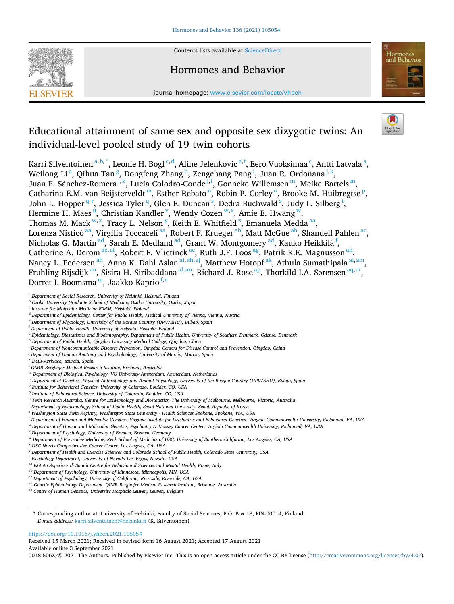

Contents lists available at [ScienceDirect](www.sciencedirect.com/science/journal/0018506X)

## Hormones and Behavior



journal homepage: [www.elsevier.com/locate/yhbeh](https://www.elsevier.com/locate/yhbeh)

## Educational attainment of same-sex and opposite-sex dizygotic twins: An individual-level pooled study of 19 twin cohorts

Karri Silventoinen <sup>a, b, \*</sup>, Leonie H. Bogl <sup>c, d</sup>, Aline Jelenkovic <sup>e, f</sup>, Eero Vuoksimaa <sup>c</sup>, Antti Latvala <sup>a</sup>, Weilong Li<sup>a</sup>, Qihua Tan<sup>g</sup>, Dongfeng Zhang<sup>h</sup>, Zengchang Pang<sup>i</sup>, Juan R. Ordoñana<sup>j,k</sup>, Juan F. Sánchez-Romera <sup>j, k</sup>, Lucia Colodro-Conde <sup>j, l</sup>, Gonneke Willemsen <sup>m</sup>, Meike Bartels <sup>m</sup>, Catharina E.M. van Beijsterveldt m, Esther Rebato n, Robin P. Corley <sup>o</sup>, Brooke M. Huibregtse P, John L. Hopper<sup>q,r</sup>, Jessica Tyler<sup>q</sup>, Glen E. Duncan<sup>s</sup>, Dedra Buchwald<sup>s</sup>, Judy L. Silberg<sup>t</sup>, Hermine H. Maes<sup>u</sup>, Christian Kandler<sup>v</sup>, Wendy Cozen<sup>w,x</sup>, Amie E. Hwang<sup>w</sup>, Thomas M. Mack w,x, Tracy L. Nelson y, Keith E. Whitfield z, Emanuela Medda aa, Lorenza Nisticò aa, Virgilia Toccaceli aa, Robert F. Krueger ab, Matt McGue ab, Shandell Pahlen ac, Nicholas G. Martin <sup>ad</sup>, Sarah E. Medland <sup>ad</sup>, Grant W. Montgomery <sup>ad</sup>, Kauko Heikkilä <sup>f</sup>, Catherine A. Derom <sup>ae, af</sup>, Robert F. Vlietinck <sup>ae</sup>, Ruth J.F. Loos <sup>ag</sup>, Patrik K.E. Magnusson <sup>ah</sup>, Nancy L. Pedersen <sup>ah</sup>, Anna K. Dahl Aslan <sup>ai, ah, aj</sup>, Matthew Hotopf <sup>ak</sup>, Athula Sumathipala <sup>al, am</sup>, Fruhling Rijsdijk<sup>an</sup>, Sisira H. Siribaddana<sup>al,ao</sup>, Richard J. Rose<sup>ap</sup>, Thorkild I.A. Sørensen<sup>aq,ar</sup>, Dorret I. Boomsma<sup>m</sup>, Jaakko Kaprio<sup>f,c</sup>

- <sup>g</sup> *Epidemiology, Biostatistics and Biodemography, Department of Public Health, University of Southern Denmark, Odense, Denmark*
- <sup>h</sup> *Department of Public Health, Qingdao University Medical College, Qingdao, China*
- <sup>i</sup> *Department of Noncommunicable Diseases Prevention, Qingdao Centers for Disease Control and Prevention, Qingdao, China*
- <sup>j</sup> *Department of Human Anatomy and Psychobiology, University of Murcia, Murcia, Spain*
- <sup>k</sup> *IMIB-Arrixaca, Murcia, Spain*
- <sup>l</sup> *QIMR Berghofer Medical Research Institute, Brisbane, Australia*
- <sup>m</sup> *Department of Biological Psychology, VU University Amsterdam, Amsterdam, Netherlands*
- <sup>n</sup> *Department of Genetics, Physical Anthropology and Animal Physiology, University of the Basque Country (UPV/EHU), Bilbao, Spain*
- <sup>o</sup> *Institute for Behavioral Genetics, University of Colorado, Boulder, CO, USA*
- <sup>p</sup> *Institute of Behavioral Science, University of Colorado, Boulder, CO, USA*
- <sup>q</sup> *Twin Research Australia, Centre for Epidemiology and Biostatistics, The University of Melbourne, Melbourne, Victoria, Australia*
- <sup>r</sup> *Department of Epidemiology, School of Public Health, Seoul National University, Seoul, Republic of Korea*
- <sup>s</sup> *Washington State Twin Registry, Washington State University Health Sciences Spokane, Spokane, WA, USA*
- <sup>t</sup> *Department of Human and Molecular Genetics, Virginia Institute for Psychiatric and Behavioral Genetics, Virginia Commonwealth University, Richmond, VA, USA*
- <sup>u</sup> *Department of Human and Molecular Genetics, Psychiatry & Massey Cancer Center, Virginia Commonwealth University, Richmond, VA, USA*
- <sup>v</sup> *Department of Psychology, University of Bremen, Bremen, Germany*
- <sup>w</sup> *Department of Preventive Medicine, Keck School of Medicine of USC, University of Southern California, Los Angeles, CA, USA*
- <sup>x</sup> *USC Norris Comprehensive Cancer Center, Los Angeles, CA, USA*
- <sup>y</sup> *Department of Health and Exercise Sciences and Colorado School of Public Health, Colorado State University, USA*
- <sup>z</sup> *Psychology Department, University of Nevada Las Vegas, Nevada, USA*
- <sup>aa</sup> Istituto Superiore di Sanità Centre for Behavioural Sciences and Mental Health, Rome, Italy
- ab *Department of Psychology, University of Minnesota, Minneapolis, MN, USA*
- ac *Department of Psychology, University of California, Riverside, Riverside, CA, USA*
- ad *Genetic Epidemiology Department, QIMR Berghofer Medical Research Institute, Brisbane, Australia*
- ae *Centre of Human Genetics, University Hospitals Leuven, Leuven, Belgium*

#### <https://doi.org/10.1016/j.yhbeh.2021.105054>

Available online 3 September 2021 Received 15 March 2021; Received in revised form 16 August 2021; Accepted 17 August 2021

0018-506X/© 2021 The Authors. Published by Elsevier Inc. This is an open access article under the CC BY license [\(http://creativecommons.org/licenses/by/4.0/\)](http://creativecommons.org/licenses/by/4.0/).

<sup>a</sup> *Department of Social Research, University of Helsinki, Helsinki, Finland* 

<sup>b</sup> *Osaka University Graduate School of Medicine, Osaka University, Osaka, Japan* 

<sup>c</sup> *Institute for Molecular Medicine FIMM, Helsinki, Finland* 

<sup>d</sup> *Department of Epidemiology, Center for Public Health, Medical University of Vienna, Vienna, Austria* 

<sup>e</sup> *Department of Physiology, University of the Basque Country (UPV/EHU), Bilbao, Spain* 

<sup>f</sup> *Department of Public Health, University of Helsinki, Helsinki, Finland* 

<sup>\*</sup> Corresponding author at: University of Helsinki, Faculty of Social Sciences, P.O. Box 18, FIN-00014, Finland. *E-mail address:* [karri.silventoinen@helsinki.fi](mailto:karri.silventoinen@helsinki.fi) (K. Silventoinen).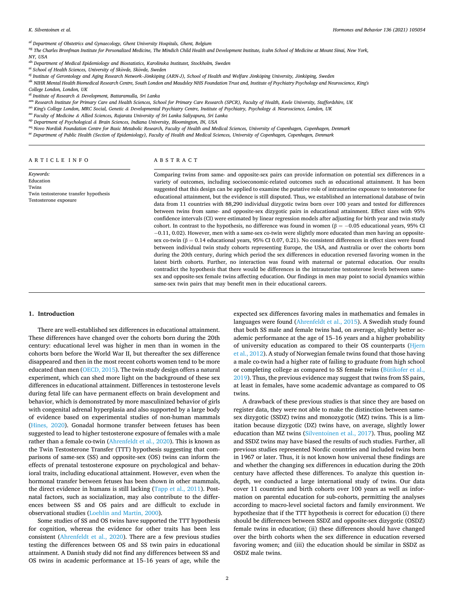<span id="page-2-0"></span>af *Department of Obstetrics and Gynaecology, Ghent University Hospitals, Ghent, Belgium* 

ag The Charles Bronfman Institute for Personalized Medicine, The Mindich Child Health and Development Institute, Icahn School of Medicine at Mount Sinai, New York, *NY, USA* 

ah *Department of Medical Epidemiology and Biostatistics, Karolinska Institutet, Stockholm, Sweden* 

<sup>ai</sup> School of Health Sciences, University of Skövde, Skövde, Sweden

<sup>aj</sup> Institute of Gerontology and Aging Research Network–Jönköping (ARN-J), School of Health and Welfare Jönköping University, Jönköping, Sweden

ak *NIHR Mental Health Biomedical Research Centre, South London and Maudsley NHS Foundation Trust and, Institute of Psychiatry Psychology and Neuroscience, King's* 

*College London, London, UK* 

al *Institute of Research & Development, Battaramulla, Sri Lanka* 

am Research Institute for Primary Care and Health Sciences, School for Primary Care Research (SPCR), Faculty of Health, Keele University, Staffordshire, UK

an *King's College London, MRC Social, Genetic & Developmental Psychiatry Centre, Institute of Psychiatry, Psychology & Neuroscience, London, UK* 

ao *Faculty of Medicine & Allied Sciences, Rajarata University of Sri Lanka Saliyapura, Sri Lanka* 

ap *Department of Psychological & Brain Sciences, Indiana University, Bloomington, IN, USA* 

<sup>aq</sup> Novo Nordisk Foundation Centre for Basic Metabolic Research, Faculty of Health and Medical Sciences, University of Copenhagen, Copenhagen, Denmark

ar *Department of Public Health (Section of Epidemiology), Faculty of Health and Medical Sciences, University of Copenhagen, Copenhagen, Denmark* 

ARTICLE INFO

*Keywords:*  Education Twins

#### ABSTRACT

Twin testosterone transfer hypothesis Testosterone exposure

Comparing twins from same- and opposite-sex pairs can provide information on potential sex differences in a variety of outcomes, including socioeconomic-related outcomes such as educational attainment. It has been suggested that this design can be applied to examine the putative role of intrauterine exposure to testosterone for educational attainment, but the evidence is still disputed. Thus, we established an international database of twin data from 11 countries with 88,290 individual dizygotic twins born over 100 years and tested for differences between twins from same- and opposite-sex dizygotic pairs in educational attainment. Effect sizes with 95% confidence intervals (CI) were estimated by linear regression models after adjusting for birth year and twin study cohort. In contrast to the hypothesis, no difference was found in women ( $\beta = -0.05$  educational years, 95% CI − 0.11, 0.02). However, men with a same-sex co-twin were slightly more educated than men having an oppositesex co-twin (β = 0.14 educational years, 95% CI 0.07, 0.21). No consistent differences in effect sizes were found between individual twin study cohorts representing Europe, the USA, and Australia or over the cohorts born during the 20th century, during which period the sex differences in education reversed favoring women in the latest birth cohorts. Further, no interaction was found with maternal or paternal education. Our results contradict the hypothesis that there would be differences in the intrauterine testosterone levels between samesex and opposite-sex female twins affecting education. Our findings in men may point to social dynamics within same-sex twin pairs that may benefit men in their educational careers.

#### **1. Introduction**

There are well-established sex differences in educational attainment. These differences have changed over the cohorts born during the 20th century: educational level was higher in men than in women in the cohorts born before the World War II, but thereafter the sex difference disappeared and then in the most recent cohorts women tend to be more educated than men ([OECD, 2015](#page-6-0)). The twin study design offers a natural experiment, which can shed more light on the background of these sex differences in educational attainment. Differences in testosterone levels during fetal life can have permanent effects on brain development and behavior, which is demonstrated by more masculinized behavior of girls with congenital adrenal hyperplasia and also supported by a large body of evidence based on experimental studies of non-human mammals ([Hines, 2020\)](#page-6-0). Gonadal hormone transfer between fetuses has been suggested to lead to higher testosterone exposure of females with a male rather than a female co-twin [\(Ahrenfeldt et al., 2020\)](#page-6-0). This is known as the Twin Testosterone Transfer (TTT) hypothesis suggesting that comparisons of same-sex (SS) and opposite-sex (OS) twins can inform the effects of prenatal testosterone exposure on psychological and behavioral traits, including educational attainment. However, even when the hormonal transfer between fetuses has been shown in other mammals, the direct evidence in humans is still lacking ([Tapp et al., 2011\)](#page-6-0). Postnatal factors, such as socialization, may also contribute to the differences between SS and OS pairs and are difficult to exclude in observational studies [\(Loehlin and Martin, 2000\)](#page-6-0).

Some studies of SS and OS twins have supported the TTT hypothesis for cognition, whereas the evidence for other traits has been less consistent ([Ahrenfeldt et al., 2020\)](#page-6-0). There are a few previous studies testing the differences between OS and SS twin pairs in educational attainment. A Danish study did not find any differences between SS and OS twins in academic performance at 15–16 years of age, while the

expected sex differences favoring males in mathematics and females in languages were found [\(Ahrenfeldt et al., 2015](#page-6-0)). A Swedish study found that both SS male and female twins had, on average, slightly better academic performance at the age of 15–16 years and a higher probability of university education as compared to their OS counterparts ([Hjern](#page-6-0)  [et al., 2012](#page-6-0)). A study of Norwegian female twins found that those having a male co-twin had a higher rate of failing to graduate from high school or completing college as compared to SS female twins ([Bütikofer et al.,](#page-6-0)  [2019\)](#page-6-0). Thus, the previous evidence may suggest that twins from SS pairs, at least in females, have some academic advantage as compared to OS twins.

A drawback of these previous studies is that since they are based on register data, they were not able to make the distinction between samesex dizygotic (SSDZ) twins and monozygotic (MZ) twins. This is a limitation because dizygotic (DZ) twins have, on average, slightly lower education than MZ twins ([Silventoinen et al., 2017\)](#page-6-0). Thus, pooling MZ and SSDZ twins may have biased the results of such studies. Further, all previous studies represented Nordic countries and included twins born in 1967 or later. Thus, it is not known how universal these findings are and whether the changing sex differences in education during the 20th century have affected these differences. To analyze this question indepth, we conducted a large international study of twins. Our data cover 11 countries and birth cohorts over 100 years as well as information on parental education for sub-cohorts, permitting the analyses according to macro-level societal factors and family environment. We hypothesize that if the TTT hypothesis is correct for education (i) there should be differences between SSDZ and opposite-sex dizygotic (OSDZ) female twins in education; (ii) these differences should have changed over the birth cohorts when the sex difference in education reversed favoring women; and (iii) the education should be similar in SSDZ as OSDZ male twins.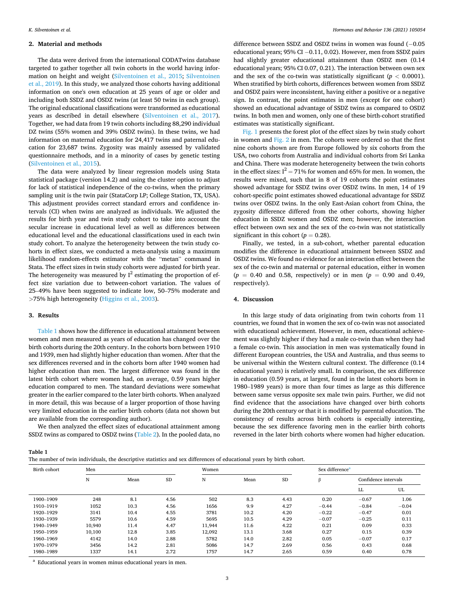#### **2. Material and methods**

The data were derived from the international CODATwins database targeted to gather together all twin cohorts in the world having information on height and weight [\(Silventoinen et al., 2015](#page-6-0); [Silventoinen](#page-6-0)  [et al., 2019](#page-6-0)). In this study, we analyzed those cohorts having additional information on one's own education at 25 years of age or older and including both SSDZ and OSDZ twins (at least 50 twins in each group). The original educational classifications were transformed as educational years as described in detail elsewhere ([Silventoinen et al., 2017](#page-6-0)). Together, we had data from 19 twin cohorts including 88,290 individual DZ twins (55% women and 39% OSDZ twins). In these twins, we had information on maternal education for 24,417 twins and paternal education for 23,687 twins. Zygosity was mainly assessed by validated questionnaire methods, and in a minority of cases by genetic testing ([Silventoinen et al., 2015](#page-6-0)).

The data were analyzed by linear regression models using Stata statistical package (version 14.2) and using the cluster option to adjust for lack of statistical independence of the co-twins, when the primary sampling unit is the twin pair (StataCorp LP; College Station, TX, USA). This adjustment provides correct standard errors and confidence intervals (CI) when twins are analyzed as individuals. We adjusted the results for birth year and twin study cohort to take into account the secular increase in educational level as well as differences between educational level and the educational classifications used in each twin study cohort. To analyze the heterogeneity between the twin study cohorts in effect sizes, we conducted a meta-analysis using a maximum likelihood random-effects estimator with the "metan" command in Stata. The effect sizes in twin study cohorts were adjusted for birth year. The heterogeneity was measured by  $I^2$  estimating the proportion of effect size variation due to between-cohort variation. The values of 25–49% have been suggested to indicate low, 50–75% moderate and *>*75% high heterogeneity ([Higgins et al., 2003](#page-6-0)).

#### **3. Results**

Table 1 shows how the difference in educational attainment between women and men measured as years of education has changed over the birth cohorts during the 20th century. In the cohorts born between 1910 and 1939, men had slightly higher education than women. After that the sex differences reversed and in the cohorts born after 1940 women had higher education than men. The largest difference was found in the latest birth cohort where women had, on average, 0.59 years higher education compared to men. The standard deviations were somewhat greater in the earlier compared to the later birth cohorts. When analyzed in more detail, this was because of a larger proportion of those having very limited education in the earlier birth cohorts (data not shown but are available from the corresponding author).

We then analyzed the effect sizes of educational attainment among SSDZ twins as compared to OSDZ twins ([Table 2](#page-4-0)). In the pooled data, no

difference between SSDZ and OSDZ twins in women was found (− 0.05 educational years; 95% CI − 0.11, 0.02). However, men from SSDZ pairs had slightly greater educational attainment than OSDZ men (0.14 educational years; 95% CI 0.07, 0.21). The interaction between own sex and the sex of the co-twin was statistically significant ( $p < 0.0001$ ). When stratified by birth cohorts, differences between women from SSDZ and OSDZ pairs were inconsistent, having either a positive or a negative sign. In contrast, the point estimates in men (except for one cohort) showed an educational advantage of SSDZ twins as compared to OSDZ twins. In both men and women, only one of these birth-cohort stratified estimates was statistically significant.

[Fig. 1](#page-4-0) presents the forest plot of the effect sizes by twin study cohort in women and [Fig. 2](#page-5-0) in men. The cohorts were ordered so that the first nine cohorts shown are from Europe followed by six cohorts from the USA, two cohorts from Australia and individual cohorts from Sri Lanka and China. There was moderate heterogeneity between the twin cohorts in the effect sizes:  $I^2 = 71\%$  for women and 65% for men. In women, the results were mixed, such that in 8 of 19 cohorts the point estimates showed advantage for SSDZ twins over OSDZ twins. In men, 14 of 19 cohort-specific point estimates showed educational advantage for SSDZ twins over OSDZ twins. In the only East-Asian cohort from China, the zygosity difference differed from the other cohorts, showing higher education in SSDZ women and OSDZ men; however, the interaction effect between own sex and the sex of the co-twin was not statistically significant in this cohort  $(p = 0.28)$ .

Finally, we tested, in a sub-cohort, whether parental education modifies the difference in educational attainment between SSDZ and OSDZ twins. We found no evidence for an interaction effect between the sex of the co-twin and maternal or paternal education, either in women (*p* = 0.40 and 0.58, respectively) or in men (*p* = 0.90 and 0.49, respectively).

#### **4. Discussion**

In this large study of data originating from twin cohorts from 11 countries, we found that in women the sex of co-twin was not associated with educational achievement. However, in men, educational achievement was slightly higher if they had a male co-twin than when they had a female co-twin. This association in men was systematically found in different European countries, the USA and Australia, and thus seems to be universal within the Western cultural context. The difference (0.14 educational years) is relatively small. In comparison, the sex difference in education (0.59 years, at largest, found in the latest cohorts born in 1980–1989 years) is more than four times as large as this difference between same versus opposite sex male twin pairs. Further, we did not find evidence that the associations have changed over birth cohorts during the 20th century or that it is modified by parental education. The consistency of results across birth cohorts is especially interesting, because the sex difference favoring men in the earlier birth cohorts reversed in the later birth cohorts where women had higher education.

#### **Table 1**

| The number of twin individuals, the descriptive statistics and sex differences of educational years by birth cohort. |  |  |
|----------------------------------------------------------------------------------------------------------------------|--|--|
|----------------------------------------------------------------------------------------------------------------------|--|--|

| Birth cohort | Men                    |      |           | Women  |           |      | Sex difference <sup>a</sup> |         |         |
|--------------|------------------------|------|-----------|--------|-----------|------|-----------------------------|---------|---------|
|              | N<br><b>SD</b><br>Mean |      | N<br>Mean |        | <b>SD</b> | ß    | Confidence intervals        |         |         |
|              |                        |      |           |        |           |      |                             | LL      | UL      |
| 1900-1909    | 248                    | 8.1  | 4.56      | 502    | 8.3       | 4.43 | 0.20                        | $-0.67$ | 1.06    |
| 1910-1919    | 1052                   | 10.3 | 4.56      | 1656   | 9.9       | 4.27 | $-0.44$                     | $-0.84$ | $-0.04$ |
| 1920-1929    | 3141                   | 10.4 | 4.55      | 3781   | 10.2      | 4.20 | $-0.22$                     | $-0.47$ | 0.01    |
| 1930-1939    | 5579                   | 10.6 | 4.59      | 5695   | 10.5      | 4.29 | $-0.07$                     | $-0.25$ | 0.11    |
| 1940-1949    | 10.940                 | 11.4 | 4.47      | 11.944 | 11.6      | 4.22 | 0.21                        | 0.09    | 0.33    |
| 1950-1959    | 10,100                 | 12.8 | 3.85      | 12,092 | 13.1      | 3.68 | 0.27                        | 0.15    | 0.39    |
| 1960-1969    | 4142                   | 14.0 | 2.88      | 5782   | 14.0      | 2.82 | 0.05                        | $-0.07$ | 0.17    |
| 1970-1979    | 3456                   | 14.2 | 2.81      | 5086   | 14.7      | 2.69 | 0.56                        | 0.43    | 0.68    |
| 1980-1989    | 1337                   | 14.1 | 2.72      | 1757   | 14.7      | 2.65 | 0.59                        | 0.40    | 0.78    |

<sup>a</sup> Educational years in women minus educational years in men.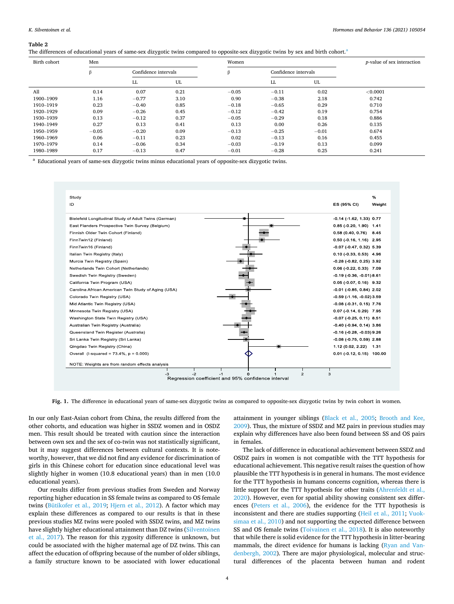#### <span id="page-4-0"></span>**Table 2**

The differences of educational years of same-sex dizygotic twins compared to opposite-sex dizygotic twins by sex and birth cohort.<sup>a</sup>

| Birth cohort | Men     |                      | Women |         |         | <i>p</i> -value of sex interaction |          |
|--------------|---------|----------------------|-------|---------|---------|------------------------------------|----------|
|              |         | Confidence intervals |       |         |         | Confidence intervals               |          |
|              |         | LL                   | UL    |         | LL.     | UL                                 |          |
| A11          | 0.14    | 0.07                 | 0.21  | $-0.05$ | $-0.11$ | 0.02                               | < 0.0001 |
| 1900-1909    | 1.16    | $-0.77$              | 3.10  | 0.90    | $-0.38$ | 2.18                               | 0.742    |
| 1910-1919    | 0.23    | $-0.40$              | 0.85  | $-0.18$ | $-0.65$ | 0.29                               | 0.710    |
| 1920-1929    | 0.09    | $-0.26$              | 0.45  | $-0.12$ | $-0.42$ | 0.19                               | 0.754    |
| 1930-1939    | 0.13    | $-0.12$              | 0.37  | $-0.05$ | $-0.29$ | 0.18                               | 0.886    |
| 1940-1949    | 0.27    | 0.13                 | 0.41  | 0.13    | 0.00    | 0.26                               | 0.135    |
| 1950-1959    | $-0.05$ | $-0.20$              | 0.09  | $-0.13$ | $-0.25$ | $-0.01$                            | 0.674    |
| 1960-1969    | 0.06    | $-0.11$              | 0.23  | 0.02    | $-0.13$ | 0.16                               | 0.455    |
| 1970-1979    | 0.14    | $-0.06$              | 0.34  | $-0.03$ | $-0.19$ | 0.13                               | 0.099    |
| 1980-1989    | 0.17    | $-0.13$              | 0.47  | $-0.01$ | $-0.28$ | 0.25                               | 0.241    |

<sup>a</sup> Educational years of same-sex dizygotic twins minus educational years of opposite-sex dizygotic twins.



Fig. 1. The difference in educational years of same-sex dizygotic twins as compared to opposite-sex dizygotic twins by twin cohort in women.

In our only East-Asian cohort from China, the results differed from the other cohorts, and education was higher in SSDZ women and in OSDZ men. This result should be treated with caution since the interaction between own sex and the sex of co-twin was not statistically significant, but it may suggest differences between cultural contexts. It is noteworthy, however, that we did not find any evidence for discrimination of girls in this Chinese cohort for education since educational level was slightly higher in women (10.8 educational years) than in men (10.0 educational years).

Our results differ from previous studies from Sweden and Norway reporting higher education in SS female twins as compared to OS female twins ([Bütikofer et al., 2019;](#page-6-0) [Hjern et al., 2012](#page-6-0)). A factor which may explain these differences as compared to our results is that in these previous studies MZ twins were pooled with SSDZ twins, and MZ twins have slightly higher educational attainment than DZ twins ([Silventoinen](#page-6-0)  [et al., 2017](#page-6-0)). The reason for this zygosity difference is unknown, but could be associated with the higher maternal age of DZ twins. This can affect the education of offspring because of the number of older siblings, a family structure known to be associated with lower educational

attainment in younger siblings ([Black et al., 2005;](#page-6-0) [Brooth and Kee,](#page-6-0)  [2009\)](#page-6-0). Thus, the mixture of SSDZ and MZ pairs in previous studies may explain why differences have also been found between SS and OS pairs in females.

The lack of difference in educational achievement between SSDZ and OSDZ pairs in women is not compatible with the TTT hypothesis for educational achievement. This negative result raises the question of how plausible the TTT hypothesis is in general in humans. The most evidence for the TTT hypothesis in humans concerns cognition, whereas there is little support for the TTT hypothesis for other traits [\(Ahrenfeldt et al.,](#page-6-0)  [2020\)](#page-6-0). However, even for spatial ability showing consistent sex differences [\(Peters et al., 2006](#page-6-0)), the evidence for the TTT hypothesis is inconsistent and there are studies supporting [\(Heil et al., 2011;](#page-6-0) [Vuok](#page-6-0)[simaa et al., 2010](#page-6-0)) and not supporting the expected difference between SS and OS female twins [\(Toivainen et al., 2018](#page-6-0)). It is also noteworthy that while there is solid evidence for the TTT hypothesis in litter-bearing mammals, the direct evidence for humans is lacking ([Ryan and Van](#page-6-0)[denbergh, 2002\)](#page-6-0). There are major physiological, molecular and structural differences of the placenta between human and rodent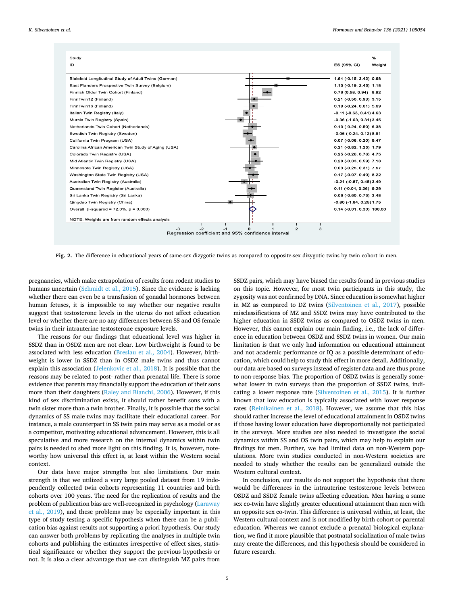<span id="page-5-0"></span>

| Study<br>ID                                                                            | %<br>ES (95% CI)<br>Weight          |
|----------------------------------------------------------------------------------------|-------------------------------------|
| Bielefeld Longitudinal Study of Adult Twins (German)                                   | 1.64 (-0.15, 3.42) 0.68             |
| East Flanders Prospective Twin Survey (Belgium)                                        | 1.13 (-0.19, 2.45) 1.18             |
| Finnish Older Twin Cohort (Finland)                                                    | $0.76(0.58, 0.94)$ 8.92             |
| FinnTwin12 (Finland)                                                                   | $0.21$ (-0.50, 0.93) 3.15           |
| FinnTwin16 (Finland)                                                                   | $0.19(-0.24, 0.61)$ 5.69            |
| Italian Twin Registry (Italy)                                                          | $-0.11$ ( $-0.63$ , $0.41$ ) $4.63$ |
| Murcia Twin Registry (Spain)                                                           | $-0.36$ ( $-1.03$ , $0.31$ ) 3.45   |
| Netherlands Twin Cohort (Netherlands)                                                  | $0.13$ (-0.24, 0.50) 6.38           |
| Swedish Twin Registry (Sweden)                                                         | $-0.06$ ( $-0.24$ , 0.12) 8.91      |
| California Twin Program (USA)                                                          | $0.07$ (-0.06, 0.20) $9.47$         |
| Carolina African American Twin Study of Aging (USA)                                    | $0.21$ (-0.82, 1.25) 1.79           |
| Colorado Twin Registry (USA)                                                           | $0.25$ (-0.26, 0.76) 4.75           |
| Mid Atlantic Twin Registry (USA)                                                       | $0.28$ (-0.03, 0.59) 7.18           |
| Minnesota Twin Registry (USA)                                                          | $0.03$ (-0.25, 0.31) 7.57           |
| Washington State Twin Registry (USA)                                                   | $0.17$ (-0.07, 0.40) 8.22           |
| Australian Twin Registry (Australia)                                                   | $-0.21$ ( $-0.87$ , $0.45$ ) 3.49   |
| Queensland Twin Register (Australia)                                                   | $0.11$ (-0.04, 0.26) 9.29           |
| Sri Lanka Twin Registry (Sri Lanka)                                                    | $0.06$ (-0.60, 0.73) 3.48           |
| Qingdao Twin Registry (China)                                                          | $-0.80$ ( $-1.84$ , $0.25$ ) 1.75   |
| Overall (I-squared = $72.0\%$ , $p = 0.000$ )                                          | 0.14 (-0.01, 0.30) 100.00           |
| NOTE: Weights are from random effects analysis                                         |                                     |
| $-2$<br>$-3$<br>$\Omega$<br>$-1$<br>Regression coefficient and 95% confidence interval | $\overline{2}$<br>3                 |

**Fig. 2.** The difference in educational years of same-sex dizygotic twins as compared to opposite-sex dizygotic twins by twin cohort in men.

pregnancies, which make extrapolation of results from rodent studies to humans uncertain ([Schmidt et al., 2015\)](#page-6-0). Since the evidence is lacking whether there can even be a transfusion of gonadal hormones between human fetuses, it is impossible to say whether our negative results suggest that testosterone levels in the uterus do not affect education level or whether there are no any differences between SS and OS female twins in their intrauterine testosterone exposure levels.

The reasons for our findings that educational level was higher in SSDZ than in OSDZ men are not clear. Low birthweight is found to be associated with less education ([Breslau et al., 2004](#page-6-0)). However, birthweight is lower in SSDZ than in OSDZ male twins and thus cannot explain this association ([Jelenkovic et al., 2018](#page-6-0)). It is possible that the reasons may be related to post- rather than prenatal life. There is some evidence that parents may financially support the education of their sons more than their daughters ([Raley and Bianchi, 2006\)](#page-6-0). However, if this kind of sex discrimination exists, it should rather benefit sons with a twin sister more than a twin brother. Finally, it is possible that the social dynamics of SS male twins may facilitate their educational career. For instance, a male counterpart in SS twin pairs may serve as a model or as a competitor, motivating educational advancement. However, this is all speculative and more research on the internal dynamics within twin pairs is needed to shed more light on this finding. It is, however, noteworthy how universal this effect is, at least within the Western social context.

Our data have major strengths but also limitations. Our main strength is that we utilized a very large pooled dataset from 19 independently collected twin cohorts representing 11 countries and birth cohorts over 100 years. The need for the replication of results and the problem of publication bias are well-recognized in psychology ([Laraway](#page-6-0)  [et al., 2019](#page-6-0)), and these problems may be especially important in this type of study testing a specific hypothesis when there can be a publication bias against results not supporting a priori hypothesis. Our study can answer both problems by replicating the analyses in multiple twin cohorts and publishing the estimates irrespective of effect sizes, statistical significance or whether they support the previous hypothesis or not. It is also a clear advantage that we can distinguish MZ pairs from

SSDZ pairs, which may have biased the results found in previous studies on this topic. However, for most twin participants in this study, the zygosity was not confirmed by DNA. Since education is somewhat higher in MZ as compared to DZ twins ([Silventoinen et al., 2017\)](#page-6-0), possible misclassifications of MZ and SSDZ twins may have contributed to the higher education in SSDZ twins as compared to OSDZ twins in men. However, this cannot explain our main finding, i.e., the lack of difference in education between OSDZ and SSDZ twins in women. Our main limitation is that we only had information on educational attainment and not academic performance or IQ as a possible determinant of education, which could help to study this effect in more detail. Additionally, our data are based on surveys instead of register data and are thus prone to non-response bias. The proportion of OSDZ twins is generally somewhat lower in twin surveys than the proportion of SSDZ twins, indicating a lower response rate ([Silventoinen et al., 2015\)](#page-6-0). It is further known that low education is typically associated with lower response rates [\(Reinikainen et al., 2018](#page-6-0)). However, we assume that this bias should rather increase the level of educational attainment in OSDZ twins if those having lower education have disproportionally not participated in the surveys. More studies are also needed to investigate the social dynamics within SS and OS twin pairs, which may help to explain our findings for men. Further, we had limited data on non-Western populations. More twin studies conducted in non-Western societies are needed to study whether the results can be generalized outside the Western cultural context.

In conclusion, our results do not support the hypothesis that there would be differences in the intrauterine testosterone levels between OSDZ and SSDZ female twins affecting education. Men having a same sex co-twin have slightly greater educational attainment than men with an opposite sex co-twin. This difference is universal within, at least, the Western cultural context and is not modified by birth cohort or parental education. Whereas we cannot exclude a prenatal biological explanation, we find it more plausible that postnatal socialization of male twins may create the differences, and this hypothesis should be considered in future research.